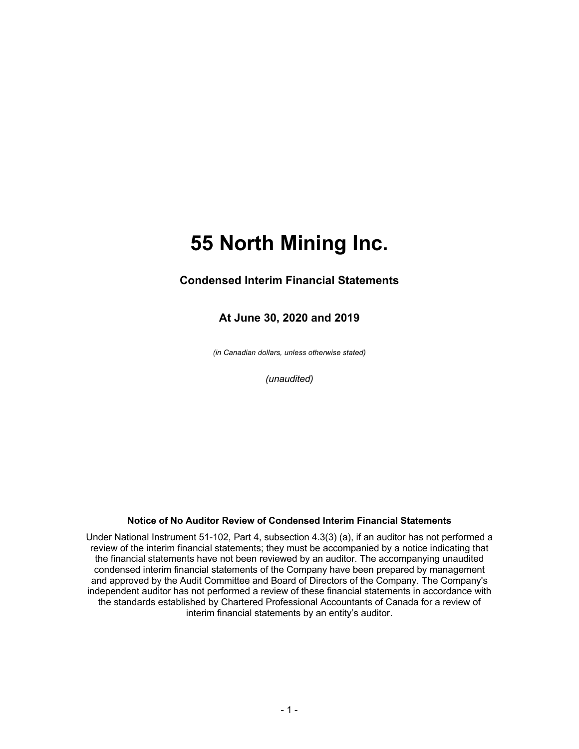### **Condensed Interim Financial Statements**

### **At June 30, 2020 and 2019**

*(in Canadian dollars, unless otherwise stated)*

*(unaudited)*

#### **Notice of No Auditor Review of Condensed Interim Financial Statements**

Under National Instrument 51-102, Part 4, subsection 4.3(3) (a), if an auditor has not performed a review of the interim financial statements; they must be accompanied by a notice indicating that the financial statements have not been reviewed by an auditor. The accompanying unaudited condensed interim financial statements of the Company have been prepared by management and approved by the Audit Committee and Board of Directors of the Company. The Company's independent auditor has not performed a review of these financial statements in accordance with the standards established by Chartered Professional Accountants of Canada for a review of interim financial statements by an entity's auditor.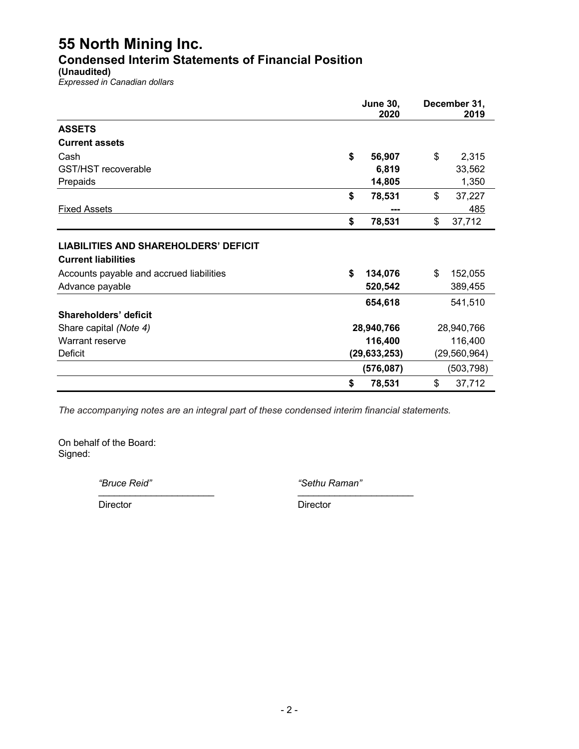**Condensed Interim Statements of Financial Position**

**(Unaudited)**

*Expressed in Canadian dollars*

|                                              | <b>June 30,</b> |            | December 31,   |            |  |
|----------------------------------------------|-----------------|------------|----------------|------------|--|
|                                              |                 | 2020       |                | 2019       |  |
| <b>ASSETS</b>                                |                 |            |                |            |  |
| <b>Current assets</b>                        |                 |            |                |            |  |
| Cash                                         | \$              | 56,907     | \$             | 2,315      |  |
| GST/HST recoverable                          |                 | 6,819      |                | 33,562     |  |
| Prepaids                                     |                 | 14,805     |                | 1,350      |  |
|                                              | \$              | 78,531     | \$             | 37,227     |  |
| <b>Fixed Assets</b>                          |                 | ---        |                | 485        |  |
|                                              | \$              | 78,531     | \$             | 37,712     |  |
|                                              |                 |            |                |            |  |
| <b>LIABILITIES AND SHAREHOLDERS' DEFICIT</b> |                 |            |                |            |  |
| <b>Current liabilities</b>                   |                 |            |                |            |  |
| Accounts payable and accrued liabilities     | \$              | 134,076    | \$             | 152,055    |  |
| Advance payable                              |                 | 520,542    |                | 389,455    |  |
|                                              |                 | 654,618    |                | 541,510    |  |
| Shareholders' deficit                        |                 |            |                |            |  |
| Share capital (Note 4)                       | 28,940,766      |            |                | 28,940,766 |  |
| Warrant reserve                              |                 | 116,400    |                | 116,400    |  |
| <b>Deficit</b>                               | (29, 633, 253)  |            | (29, 560, 964) |            |  |
|                                              |                 | (576, 087) |                | (503, 798) |  |
|                                              | \$              | 78,531     | \$             | 37,712     |  |

*The accompanying notes are an integral part of these condensed interim financial statements.*

On behalf of the Board: Signed:

*"Bruce Reid" "Sethu Raman"* \_\_\_\_\_\_\_\_\_\_\_\_\_\_\_\_\_\_\_\_\_\_ \_\_\_\_\_\_\_\_\_\_\_\_\_\_\_\_\_\_\_\_\_\_

Director Director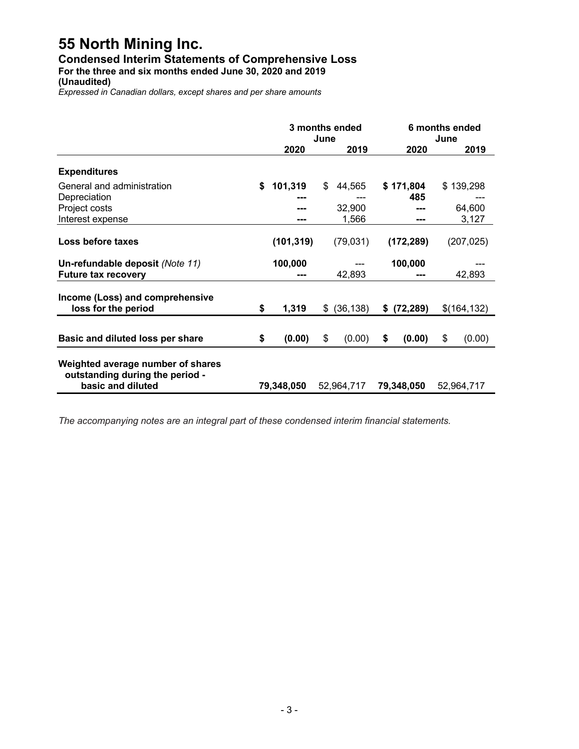## **Condensed Interim Statements of Comprehensive Loss**

**For the three and six months ended June 30, 2020 and 2019**

**(Unaudited)**

*Expressed in Canadian dollars, except shares and per share amounts*

|                                                                                           | 3 months ended<br>June |            |              |    | 6 months ended<br>June |    |              |
|-------------------------------------------------------------------------------------------|------------------------|------------|--------------|----|------------------------|----|--------------|
|                                                                                           |                        | 2020       | 2019         |    | 2020                   |    | 2019         |
| <b>Expenditures</b>                                                                       |                        |            |              |    |                        |    |              |
| General and administration                                                                | \$                     | 101,319    | \$<br>44,565 |    | \$171,804              |    | \$139,298    |
| Depreciation                                                                              |                        |            |              |    | 485                    |    |              |
| Project costs                                                                             |                        |            | 32,900       |    |                        |    | 64,600       |
| Interest expense                                                                          |                        |            | 1,566        |    | ---                    |    | 3,127        |
| Loss before taxes                                                                         |                        | (101, 319) | (79, 031)    |    | (172, 289)             |    | (207, 025)   |
| Un-refundable deposit (Note 11)                                                           |                        | 100,000    |              |    | 100,000                |    |              |
| <b>Future tax recovery</b>                                                                |                        | ---        | 42,893       |    | ---                    |    | 42,893       |
| Income (Loss) and comprehensive<br>loss for the period                                    | \$                     | 1,319      | \$ (36, 138) |    | \$ (72, 289)           |    | \$(164, 132) |
| Basic and diluted loss per share                                                          | \$                     | (0.00)     | \$<br>(0.00) | \$ | (0.00)                 | \$ | (0.00)       |
| Weighted average number of shares<br>outstanding during the period -<br>basic and diluted |                        | 79,348,050 | 52,964,717   |    | 79,348,050             |    | 52,964,717   |

*The accompanying notes are an integral part of these condensed interim financial statements.*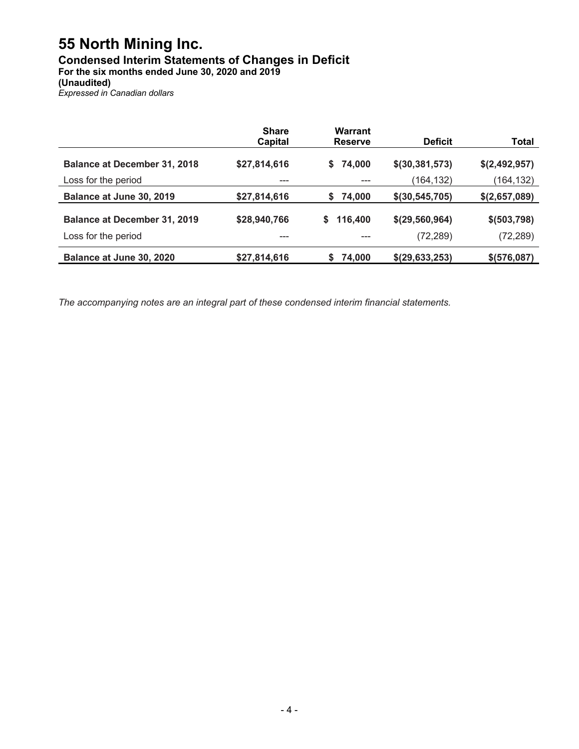## **Condensed Interim Statements of Changes in Deficit**

**For the six months ended June 30, 2020 and 2019**

**(Unaudited)**

*Expressed in Canadian dollars*

|                                     | <b>Share</b><br>Capital | Warrant<br><b>Reserve</b> | <b>Deficit</b>   | Total         |
|-------------------------------------|-------------------------|---------------------------|------------------|---------------|
| <b>Balance at December 31, 2018</b> | \$27,814,616            | 74,000<br>S.              | \$(30, 381, 573) | \$(2,492,957) |
| Loss for the period                 |                         |                           | (164,132)        | (164,132)     |
| Balance at June 30, 2019            | \$27,814,616            | 74,000<br>S.              | \$(30, 545, 705) | \$(2,657,089) |
| <b>Balance at December 31, 2019</b> | \$28,940,766            | 116,400<br>\$             | \$(29, 560, 964) | \$ (503, 798) |
| Loss for the period                 |                         |                           | (72, 289)        | (72, 289)     |
| Balance at June 30, 2020            | \$27,814,616            | S<br>74,000               | \$(29, 633, 253) | \$ (576,087)  |

*The accompanying notes are an integral part of these condensed interim financial statements.*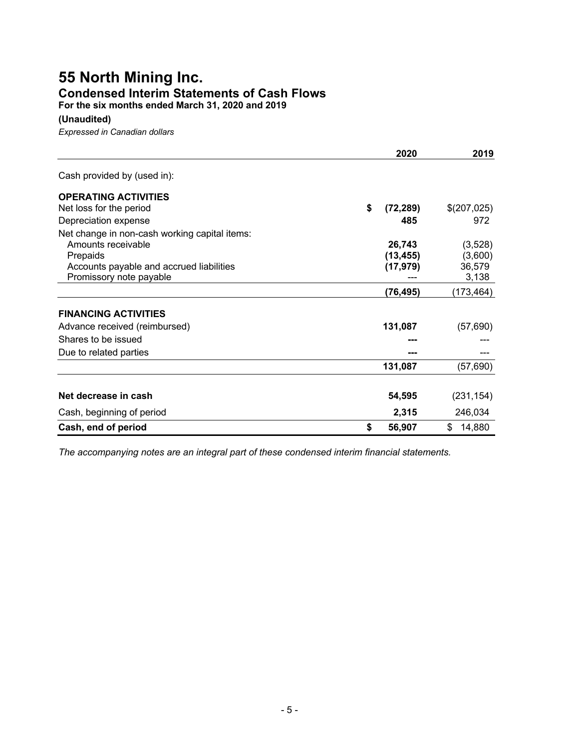## **55 North Mining Inc. Condensed Interim Statements of Cash Flows**

**For the six months ended March 31, 2020 and 2019**

#### **(Unaudited)**

*Expressed in Canadian dollars*

|                                               | 2020            | 2019         |
|-----------------------------------------------|-----------------|--------------|
| Cash provided by (used in):                   |                 |              |
| <b>OPERATING ACTIVITIES</b>                   |                 |              |
| Net loss for the period                       | \$<br>(72, 289) | \$(207,025)  |
| Depreciation expense                          | 485             | 972          |
| Net change in non-cash working capital items: |                 |              |
| Amounts receivable                            | 26,743          | (3,528)      |
| Prepaids                                      | (13, 455)       | (3,600)      |
| Accounts payable and accrued liabilities      | (17, 979)       | 36,579       |
| Promissory note payable                       |                 | 3,138        |
|                                               | (76, 495)       | (173, 464)   |
| <b>FINANCING ACTIVITIES</b>                   |                 |              |
| Advance received (reimbursed)                 | 131,087         | (57, 690)    |
| Shares to be issued                           |                 |              |
| Due to related parties                        |                 |              |
|                                               | 131,087         | (57, 690)    |
|                                               |                 |              |
| Net decrease in cash                          | 54,595          | (231, 154)   |
| Cash, beginning of period                     | 2,315           | 246,034      |
| Cash, end of period                           | \$<br>56,907    | \$<br>14,880 |

*The accompanying notes are an integral part of these condensed interim financial statements.*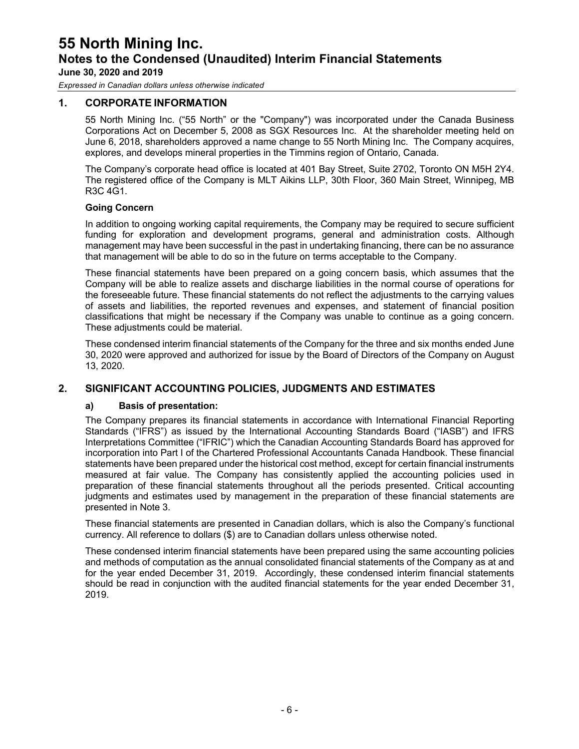*Expressed in Canadian dollars unless otherwise indicated*

#### **1. CORPORATE INFORMATION**

55 North Mining Inc. ("55 North" or the "Company") was incorporated under the Canada Business Corporations Act on December 5, 2008 as SGX Resources Inc. At the shareholder meeting held on June 6, 2018, shareholders approved a name change to 55 North Mining Inc. The Company acquires, explores, and develops mineral properties in the Timmins region of Ontario, Canada.

The Company's corporate head office is located at 401 Bay Street, Suite 2702, Toronto ON M5H 2Y4. The registered office of the Company is MLT Aikins LLP, 30th Floor, 360 Main Street, Winnipeg, MB R3C 4G1.

#### **Going Concern**

In addition to ongoing working capital requirements, the Company may be required to secure sufficient funding for exploration and development programs, general and administration costs. Although management may have been successful in the past in undertaking financing, there can be no assurance that management will be able to do so in the future on terms acceptable to the Company.

These financial statements have been prepared on a going concern basis, which assumes that the Company will be able to realize assets and discharge liabilities in the normal course of operations for the foreseeable future. These financial statements do not reflect the adjustments to the carrying values of assets and liabilities, the reported revenues and expenses, and statement of financial position classifications that might be necessary if the Company was unable to continue as a going concern. These adjustments could be material.

These condensed interim financial statements of the Company for the three and six months ended June 30, 2020 were approved and authorized for issue by the Board of Directors of the Company on August 13, 2020.

#### **2. SIGNIFICANT ACCOUNTING POLICIES, JUDGMENTS AND ESTIMATES**

#### **a) Basis of presentation:**

The Company prepares its financial statements in accordance with International Financial Reporting Standards ("IFRS") as issued by the International Accounting Standards Board ("IASB") and IFRS Interpretations Committee ("IFRIC") which the Canadian Accounting Standards Board has approved for incorporation into Part I of the Chartered Professional Accountants Canada Handbook. These financial statements have been prepared under the historical cost method, except for certain financial instruments measured at fair value. The Company has consistently applied the accounting policies used in preparation of these financial statements throughout all the periods presented. Critical accounting judgments and estimates used by management in the preparation of these financial statements are presented in Note 3.

These financial statements are presented in Canadian dollars, which is also the Company's functional currency. All reference to dollars (\$) are to Canadian dollars unless otherwise noted.

These condensed interim financial statements have been prepared using the same accounting policies and methods of computation as the annual consolidated financial statements of the Company as at and for the year ended December 31, 2019. Accordingly, these condensed interim financial statements should be read in conjunction with the audited financial statements for the year ended December 31, 2019.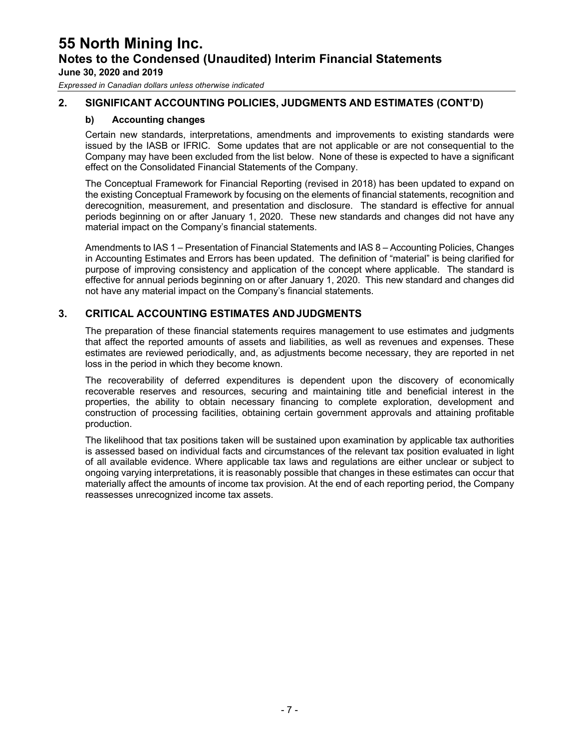*Expressed in Canadian dollars unless otherwise indicated*

#### **2. SIGNIFICANT ACCOUNTING POLICIES, JUDGMENTS AND ESTIMATES (CONT'D)**

#### **b) Accounting changes**

Certain new standards, interpretations, amendments and improvements to existing standards were issued by the IASB or IFRIC. Some updates that are not applicable or are not consequential to the Company may have been excluded from the list below. None of these is expected to have a significant effect on the Consolidated Financial Statements of the Company.

The Conceptual Framework for Financial Reporting (revised in 2018) has been updated to expand on the existing Conceptual Framework by focusing on the elements of financial statements, recognition and derecognition, measurement, and presentation and disclosure. The standard is effective for annual periods beginning on or after January 1, 2020. These new standards and changes did not have any material impact on the Company's financial statements.

Amendments to IAS 1 – Presentation of Financial Statements and IAS 8 – Accounting Policies, Changes in Accounting Estimates and Errors has been updated. The definition of "material" is being clarified for purpose of improving consistency and application of the concept where applicable. The standard is effective for annual periods beginning on or after January 1, 2020. This new standard and changes did not have any material impact on the Company's financial statements.

#### **3. CRITICAL ACCOUNTING ESTIMATES ANDJUDGMENTS**

The preparation of these financial statements requires management to use estimates and judgments that affect the reported amounts of assets and liabilities, as well as revenues and expenses. These estimates are reviewed periodically, and, as adjustments become necessary, they are reported in net loss in the period in which they become known.

The recoverability of deferred expenditures is dependent upon the discovery of economically recoverable reserves and resources, securing and maintaining title and beneficial interest in the properties, the ability to obtain necessary financing to complete exploration, development and construction of processing facilities, obtaining certain government approvals and attaining profitable production.

The likelihood that tax positions taken will be sustained upon examination by applicable tax authorities is assessed based on individual facts and circumstances of the relevant tax position evaluated in light of all available evidence. Where applicable tax laws and regulations are either unclear or subject to ongoing varying interpretations, it is reasonably possible that changes in these estimates can occur that materially affect the amounts of income tax provision. At the end of each reporting period, the Company reassesses unrecognized income tax assets.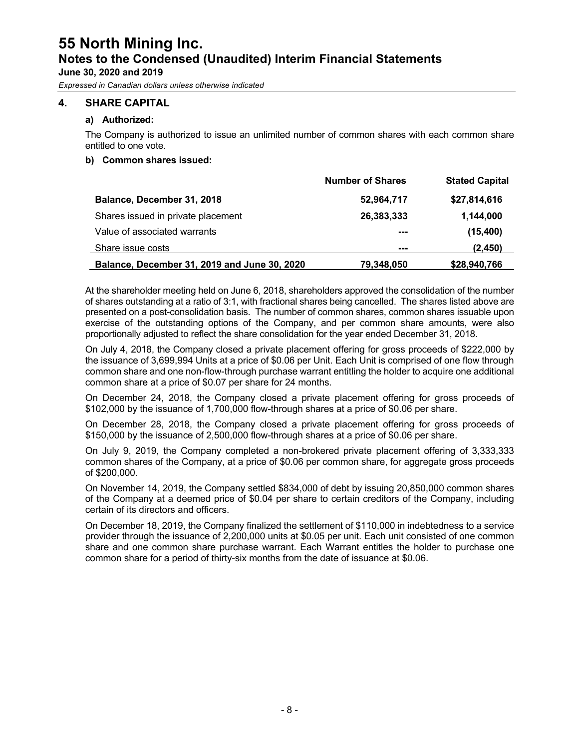*Expressed in Canadian dollars unless otherwise indicated*

#### **4. SHARE CAPITAL**

#### **a) Authorized:**

The Company is authorized to issue an unlimited number of common shares with each common share entitled to one vote.

#### **b) Common shares issued:**

|                                              | <b>Number of Shares</b> | <b>Stated Capital</b> |
|----------------------------------------------|-------------------------|-----------------------|
| Balance, December 31, 2018                   | 52,964,717              | \$27,814,616          |
| Shares issued in private placement           | 26,383,333              | 1,144,000             |
| Value of associated warrants                 | ---                     | (15, 400)             |
| Share issue costs                            | ---                     | (2, 450)              |
| Balance, December 31, 2019 and June 30, 2020 | 79,348,050              | \$28,940,766          |

At the shareholder meeting held on June 6, 2018, shareholders approved the consolidation of the number of shares outstanding at a ratio of 3:1, with fractional shares being cancelled. The shares listed above are presented on a post-consolidation basis. The number of common shares, common shares issuable upon exercise of the outstanding options of the Company, and per common share amounts, were also proportionally adjusted to reflect the share consolidation for the year ended December 31, 2018.

On July 4, 2018, the Company closed a private placement offering for gross proceeds of \$222,000 by the issuance of 3,699,994 Units at a price of \$0.06 per Unit. Each Unit is comprised of one flow through common share and one non-flow-through purchase warrant entitling the holder to acquire one additional common share at a price of \$0.07 per share for 24 months.

On December 24, 2018, the Company closed a private placement offering for gross proceeds of \$102,000 by the issuance of 1,700,000 flow-through shares at a price of \$0.06 per share.

On December 28, 2018, the Company closed a private placement offering for gross proceeds of \$150,000 by the issuance of 2,500,000 flow-through shares at a price of \$0.06 per share.

On July 9, 2019, the Company completed a non-brokered private placement offering of 3,333,333 common shares of the Company, at a price of \$0.06 per common share, for aggregate gross proceeds of \$200,000.

On November 14, 2019, the Company settled \$834,000 of debt by issuing 20,850,000 common shares of the Company at a deemed price of \$0.04 per share to certain creditors of the Company, including certain of its directors and officers.

On December 18, 2019, the Company finalized the settlement of \$110,000 in indebtedness to a service provider through the issuance of 2,200,000 units at \$0.05 per unit. Each unit consisted of one common share and one common share purchase warrant. Each Warrant entitles the holder to purchase one common share for a period of thirty-six months from the date of issuance at \$0.06.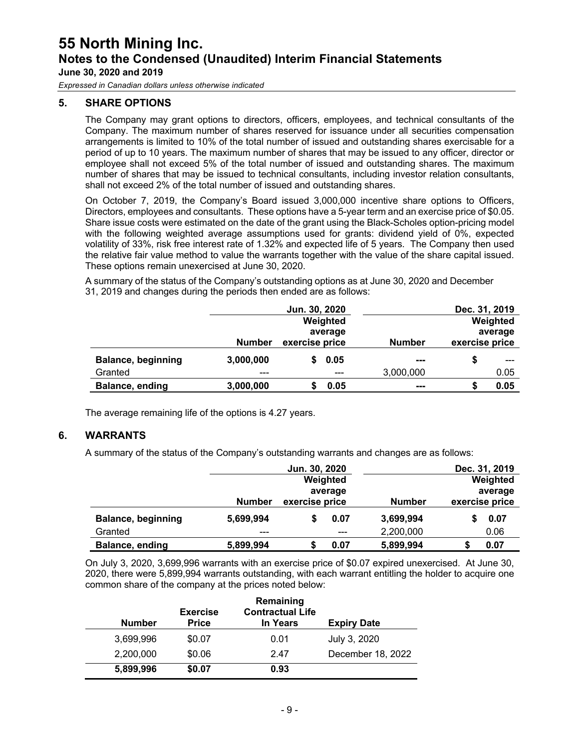*Expressed in Canadian dollars unless otherwise indicated*

#### **5. SHARE OPTIONS**

The Company may grant options to directors, officers, employees, and technical consultants of the Company. The maximum number of shares reserved for issuance under all securities compensation arrangements is limited to 10% of the total number of issued and outstanding shares exercisable for a period of up to 10 years. The maximum number of shares that may be issued to any officer, director or employee shall not exceed 5% of the total number of issued and outstanding shares. The maximum number of shares that may be issued to technical consultants, including investor relation consultants, shall not exceed 2% of the total number of issued and outstanding shares.

On October 7, 2019, the Company's Board issued 3,000,000 incentive share options to Officers, Directors, employees and consultants. These options have a 5-year term and an exercise price of \$0.05. Share issue costs were estimated on the date of the grant using the Black-Scholes option-pricing model with the following weighted average assumptions used for grants: dividend yield of 0%, expected volatility of 33%, risk free interest rate of 1.32% and expected life of 5 years. The Company then used the relative fair value method to value the warrants together with the value of the share capital issued. These options remain unexercised at June 30, 2020.

A summary of the status of the Company's outstanding options as at June 30, 2020 and December 31, 2019 and changes during the periods then ended are as follows:

|                           |               | Jun. 30, 2020  |               | Dec. 31, 2019  |
|---------------------------|---------------|----------------|---------------|----------------|
|                           |               | Weighted       |               | Weighted       |
|                           |               | average        |               | average        |
|                           | <b>Number</b> | exercise price | <b>Number</b> | exercise price |
| <b>Balance, beginning</b> | 3,000,000     | 0.05           | ---           |                |
| Granted                   | $- - -$       | ---            | 3,000,000     | 0.05           |
| Balance, ending           | 3,000,000     | 0.05           | ---           | 0.05           |

The average remaining life of the options is 4.27 years.

#### **6. WARRANTS**

A summary of the status of the Company's outstanding warrants and changes are as follows:

|                           |               | Jun. 30, 2020  |          |               | Dec. 31, 2019  |
|---------------------------|---------------|----------------|----------|---------------|----------------|
|                           |               |                | Weighted |               | Weighted       |
|                           |               |                | average  |               | average        |
|                           | <b>Number</b> | exercise price |          | <b>Number</b> | exercise price |
| <b>Balance, beginning</b> | 5,699,994     |                | 0.07     | 3,699,994     | 0.07           |
| Granted                   | $--$          |                | ---      | 2,200,000     | 0.06           |
| Balance, ending           | 5,899,994     |                | 0.07     | 5,899,994     | 0.07           |

On July 3, 2020, 3,699,996 warrants with an exercise price of \$0.07 expired unexercised. At June 30, 2020, there were 5,899,994 warrants outstanding, with each warrant entitling the holder to acquire one common share of the company at the prices noted below:

| <b>Number</b> | <b>Exercise</b><br><b>Price</b> | Remaining<br><b>Contractual Life</b><br>In Years | <b>Expiry Date</b> |
|---------------|---------------------------------|--------------------------------------------------|--------------------|
| 3,699,996     | \$0.07                          | 0.01                                             | July 3, 2020       |
| 2,200,000     | \$0.06                          | 2.47                                             | December 18, 2022  |
| 5,899,996     | \$0.07                          | 0.93                                             |                    |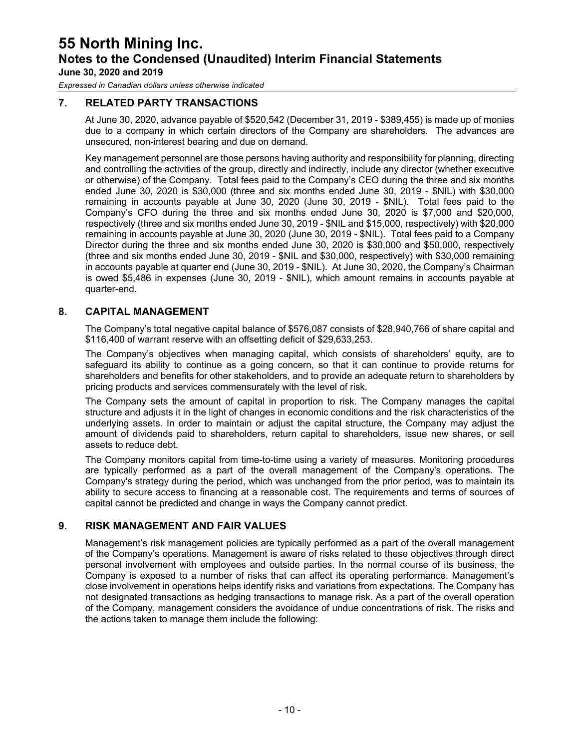*Expressed in Canadian dollars unless otherwise indicated*

#### **7. RELATED PARTY TRANSACTIONS**

At June 30, 2020, advance payable of \$520,542 (December 31, 2019 - \$389,455) is made up of monies due to a company in which certain directors of the Company are shareholders. The advances are unsecured, non-interest bearing and due on demand.

Key management personnel are those persons having authority and responsibility for planning, directing and controlling the activities of the group, directly and indirectly, include any director (whether executive or otherwise) of the Company. Total fees paid to the Company's CEO during the three and six months ended June 30, 2020 is \$30,000 (three and six months ended June 30, 2019 - \$NIL) with \$30,000 remaining in accounts payable at June 30, 2020 (June 30, 2019 - \$NIL). Total fees paid to the Company's CFO during the three and six months ended June 30, 2020 is \$7,000 and \$20,000, respectively (three and six months ended June 30, 2019 - \$NIL and \$15,000, respectively) with \$20,000 remaining in accounts payable at June 30, 2020 (June 30, 2019 - \$NIL). Total fees paid to a Company Director during the three and six months ended June 30, 2020 is \$30,000 and \$50,000, respectively (three and six months ended June 30, 2019 - \$NIL and \$30,000, respectively) with \$30,000 remaining in accounts payable at quarter end (June 30, 2019 - \$NIL). At June 30, 2020, the Company's Chairman is owed \$5,486 in expenses (June 30, 2019 - \$NIL), which amount remains in accounts payable at quarter-end.

#### **8. CAPITAL MANAGEMENT**

The Company's total negative capital balance of \$576,087 consists of \$28,940,766 of share capital and \$116,400 of warrant reserve with an offsetting deficit of \$29,633,253.

The Company's objectives when managing capital, which consists of shareholders' equity, are to safeguard its ability to continue as a going concern, so that it can continue to provide returns for shareholders and benefits for other stakeholders, and to provide an adequate return to shareholders by pricing products and services commensurately with the level of risk.

The Company sets the amount of capital in proportion to risk. The Company manages the capital structure and adjusts it in the light of changes in economic conditions and the risk characteristics of the underlying assets. In order to maintain or adjust the capital structure, the Company may adjust the amount of dividends paid to shareholders, return capital to shareholders, issue new shares, or sell assets to reduce debt.

The Company monitors capital from time-to-time using a variety of measures. Monitoring procedures are typically performed as a part of the overall management of the Company's operations. The Company's strategy during the period, which was unchanged from the prior period, was to maintain its ability to secure access to financing at a reasonable cost. The requirements and terms of sources of capital cannot be predicted and change in ways the Company cannot predict.

#### **9. RISK MANAGEMENT AND FAIR VALUES**

Management's risk management policies are typically performed as a part of the overall management of the Company's operations. Management is aware of risks related to these objectives through direct personal involvement with employees and outside parties. In the normal course of its business, the Company is exposed to a number of risks that can affect its operating performance. Management's close involvement in operations helps identify risks and variations from expectations. The Company has not designated transactions as hedging transactions to manage risk. As a part of the overall operation of the Company, management considers the avoidance of undue concentrations of risk. The risks and the actions taken to manage them include the following: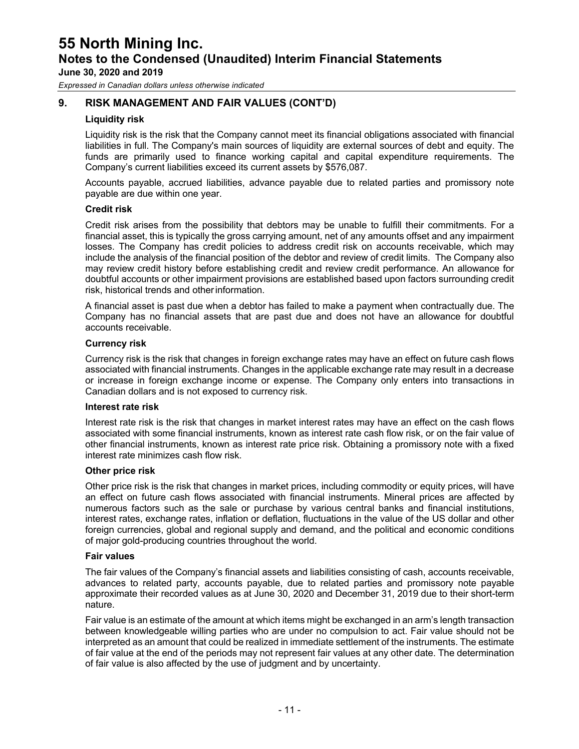**June 30, 2020 and 2019**

*Expressed in Canadian dollars unless otherwise indicated*

#### **9. RISK MANAGEMENT AND FAIR VALUES (CONT'D)**

#### **Liquidity risk**

Liquidity risk is the risk that the Company cannot meet its financial obligations associated with financial liabilities in full. The Company's main sources of liquidity are external sources of debt and equity. The funds are primarily used to finance working capital and capital expenditure requirements. The Company's current liabilities exceed its current assets by \$576,087.

Accounts payable, accrued liabilities, advance payable due to related parties and promissory note payable are due within one year.

#### **Credit risk**

Credit risk arises from the possibility that debtors may be unable to fulfill their commitments. For a financial asset, this is typically the gross carrying amount, net of any amounts offset and any impairment losses. The Company has credit policies to address credit risk on accounts receivable, which may include the analysis of the financial position of the debtor and review of credit limits. The Company also may review credit history before establishing credit and review credit performance. An allowance for doubtful accounts or other impairment provisions are established based upon factors surrounding credit risk, historical trends and otherinformation.

A financial asset is past due when a debtor has failed to make a payment when contractually due. The Company has no financial assets that are past due and does not have an allowance for doubtful accounts receivable.

#### **Currency risk**

Currency risk is the risk that changes in foreign exchange rates may have an effect on future cash flows associated with financial instruments. Changes in the applicable exchange rate may result in a decrease or increase in foreign exchange income or expense. The Company only enters into transactions in Canadian dollars and is not exposed to currency risk.

#### **Interest rate risk**

Interest rate risk is the risk that changes in market interest rates may have an effect on the cash flows associated with some financial instruments, known as interest rate cash flow risk, or on the fair value of other financial instruments, known as interest rate price risk. Obtaining a promissory note with a fixed interest rate minimizes cash flow risk.

#### **Other price risk**

Other price risk is the risk that changes in market prices, including commodity or equity prices, will have an effect on future cash flows associated with financial instruments. Mineral prices are affected by numerous factors such as the sale or purchase by various central banks and financial institutions, interest rates, exchange rates, inflation or deflation, fluctuations in the value of the US dollar and other foreign currencies, global and regional supply and demand, and the political and economic conditions of major gold-producing countries throughout the world.

#### **Fair values**

The fair values of the Company's financial assets and liabilities consisting of cash, accounts receivable, advances to related party, accounts payable, due to related parties and promissory note payable approximate their recorded values as at June 30, 2020 and December 31, 2019 due to their short-term nature.

Fair value is an estimate of the amount at which items might be exchanged in an arm's length transaction between knowledgeable willing parties who are under no compulsion to act. Fair value should not be interpreted as an amount that could be realized in immediate settlement of the instruments. The estimate of fair value at the end of the periods may not represent fair values at any other date. The determination of fair value is also affected by the use of judgment and by uncertainty.